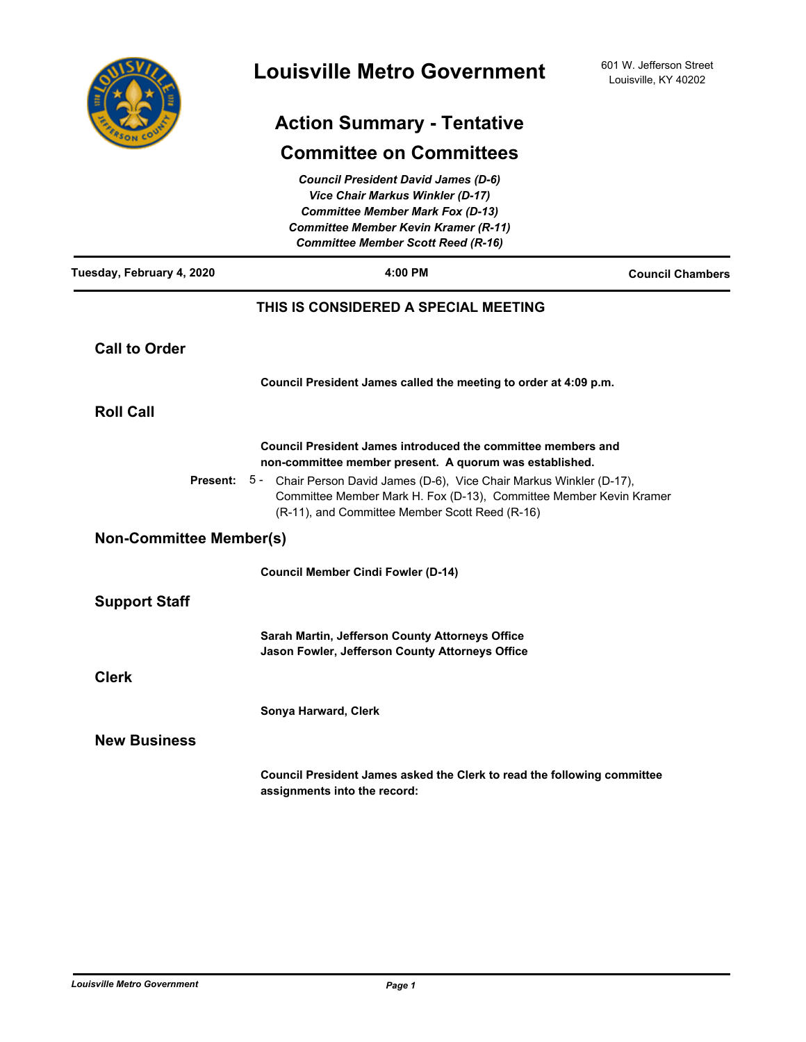

# **Action Summary - Tentative**

## **Committee on Committees**

|                                | <b>Council President David James (D-6)</b><br><b>Vice Chair Markus Winkler (D-17)</b><br><b>Committee Member Mark Fox (D-13)</b><br><b>Committee Member Kevin Kramer (R-11)</b><br><b>Committee Member Scott Reed (R-16)</b> |                         |
|--------------------------------|------------------------------------------------------------------------------------------------------------------------------------------------------------------------------------------------------------------------------|-------------------------|
| Tuesday, February 4, 2020      | 4:00 PM                                                                                                                                                                                                                      | <b>Council Chambers</b> |
|                                | THIS IS CONSIDERED A SPECIAL MEETING                                                                                                                                                                                         |                         |
| <b>Call to Order</b>           |                                                                                                                                                                                                                              |                         |
|                                | Council President James called the meeting to order at 4:09 p.m.                                                                                                                                                             |                         |
| <b>Roll Call</b>               |                                                                                                                                                                                                                              |                         |
|                                | Council President James introduced the committee members and<br>non-committee member present. A quorum was established.                                                                                                      |                         |
| Present: 5 -                   | Chair Person David James (D-6), Vice Chair Markus Winkler (D-17),<br>Committee Member Mark H. Fox (D-13), Committee Member Kevin Kramer<br>(R-11), and Committee Member Scott Reed (R-16)                                    |                         |
| <b>Non-Committee Member(s)</b> |                                                                                                                                                                                                                              |                         |
|                                | <b>Council Member Cindi Fowler (D-14)</b>                                                                                                                                                                                    |                         |
| <b>Support Staff</b>           |                                                                                                                                                                                                                              |                         |
|                                | Sarah Martin, Jefferson County Attorneys Office<br>Jason Fowler, Jefferson County Attorneys Office                                                                                                                           |                         |
| <b>Clerk</b>                   |                                                                                                                                                                                                                              |                         |
|                                | Sonya Harward, Clerk                                                                                                                                                                                                         |                         |
| <b>New Business</b>            |                                                                                                                                                                                                                              |                         |
|                                | Council President James asked the Clerk to read the following committee<br>assignments into the record:                                                                                                                      |                         |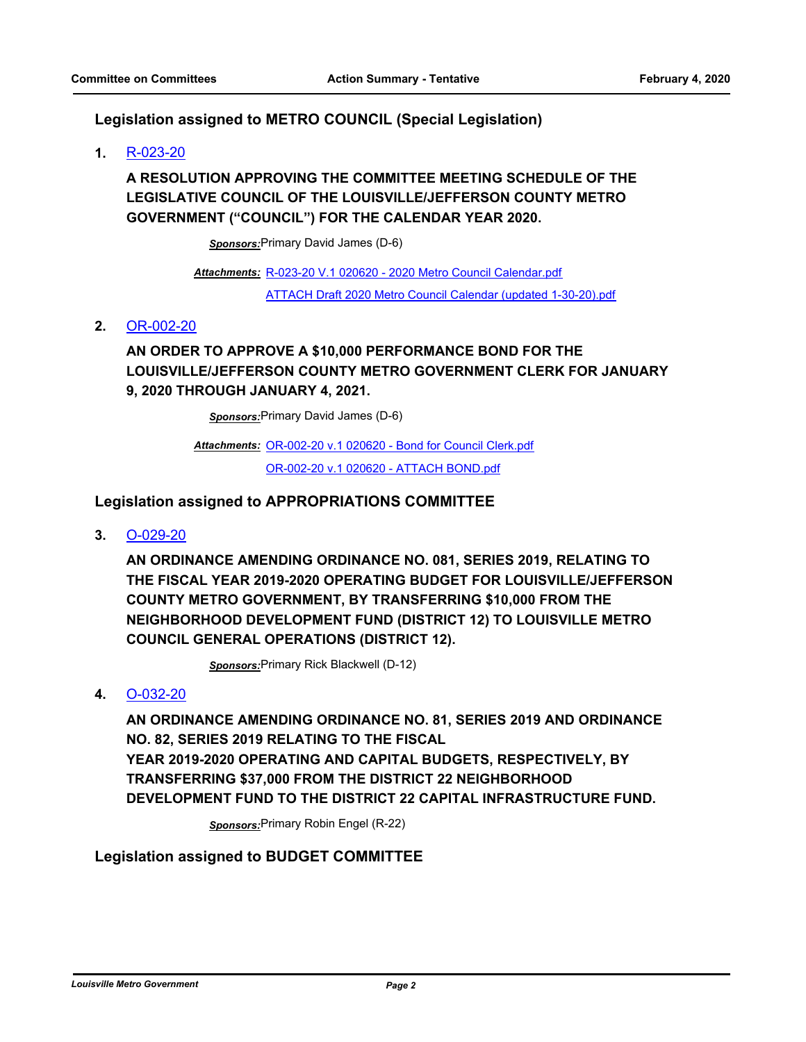#### **Legislation assigned to METRO COUNCIL (Special Legislation)**

**1.** [R-023-20](http://louisville.legistar.com/gateway.aspx?m=l&id=/matter.aspx?key=52614)

### **A RESOLUTION APPROVING THE COMMITTEE MEETING SCHEDULE OF THE LEGISLATIVE COUNCIL OF THE LOUISVILLE/JEFFERSON COUNTY METRO GOVERNMENT ("COUNCIL") FOR THE CALENDAR YEAR 2020.**

*Sponsors:*Primary David James (D-6)

[R-023-20 V.1 020620 - 2020 Metro Council Calendar.pdf](http://louisville.legistar.com/gateway.aspx?M=F&ID=79549e17-52d3-447d-9e11-bfd20e88ca6e.pdf) *Attachments:* [ATTACH Draft 2020 Metro Council Calendar \(updated 1-30-20\).pdf](http://louisville.legistar.com/gateway.aspx?M=F&ID=7d691008-96ed-4648-9dae-a1ef41c442db.pdf)

#### **2.** [OR-002-20](http://louisville.legistar.com/gateway.aspx?m=l&id=/matter.aspx?key=52666)

### **AN ORDER TO APPROVE A \$10,000 PERFORMANCE BOND FOR THE LOUISVILLE/JEFFERSON COUNTY METRO GOVERNMENT CLERK FOR JANUARY 9, 2020 THROUGH JANUARY 4, 2021.**

*Sponsors:*Primary David James (D-6)

Attachments: [OR-002-20 v.1 020620 - Bond for Council Clerk.pdf](http://louisville.legistar.com/gateway.aspx?M=F&ID=7e2db300-4980-4931-95d2-c11d155e6058.pdf) [OR-002-20 v.1 020620 - ATTACH BOND.pdf](http://louisville.legistar.com/gateway.aspx?M=F&ID=8633309c-7a5e-4f33-a7d6-7c52dfacabb2.pdf)

#### **Legislation assigned to APPROPRIATIONS COMMITTEE**

**3.** [O-029-20](http://louisville.legistar.com/gateway.aspx?m=l&id=/matter.aspx?key=52615)

**AN ORDINANCE AMENDING ORDINANCE NO. 081, SERIES 2019, RELATING TO THE FISCAL YEAR 2019-2020 OPERATING BUDGET FOR LOUISVILLE/JEFFERSON COUNTY METRO GOVERNMENT, BY TRANSFERRING \$10,000 FROM THE NEIGHBORHOOD DEVELOPMENT FUND (DISTRICT 12) TO LOUISVILLE METRO COUNCIL GENERAL OPERATIONS (DISTRICT 12).**

*Sponsors:*Primary Rick Blackwell (D-12)

**4.** [O-032-20](http://louisville.legistar.com/gateway.aspx?m=l&id=/matter.aspx?key=52652)

**AN ORDINANCE AMENDING ORDINANCE NO. 81, SERIES 2019 AND ORDINANCE NO. 82, SERIES 2019 RELATING TO THE FISCAL YEAR 2019-2020 OPERATING AND CAPITAL BUDGETS, RESPECTIVELY, BY TRANSFERRING \$37,000 FROM THE DISTRICT 22 NEIGHBORHOOD DEVELOPMENT FUND TO THE DISTRICT 22 CAPITAL INFRASTRUCTURE FUND.**

*Sponsors:*Primary Robin Engel (R-22)

### **Legislation assigned to BUDGET COMMITTEE**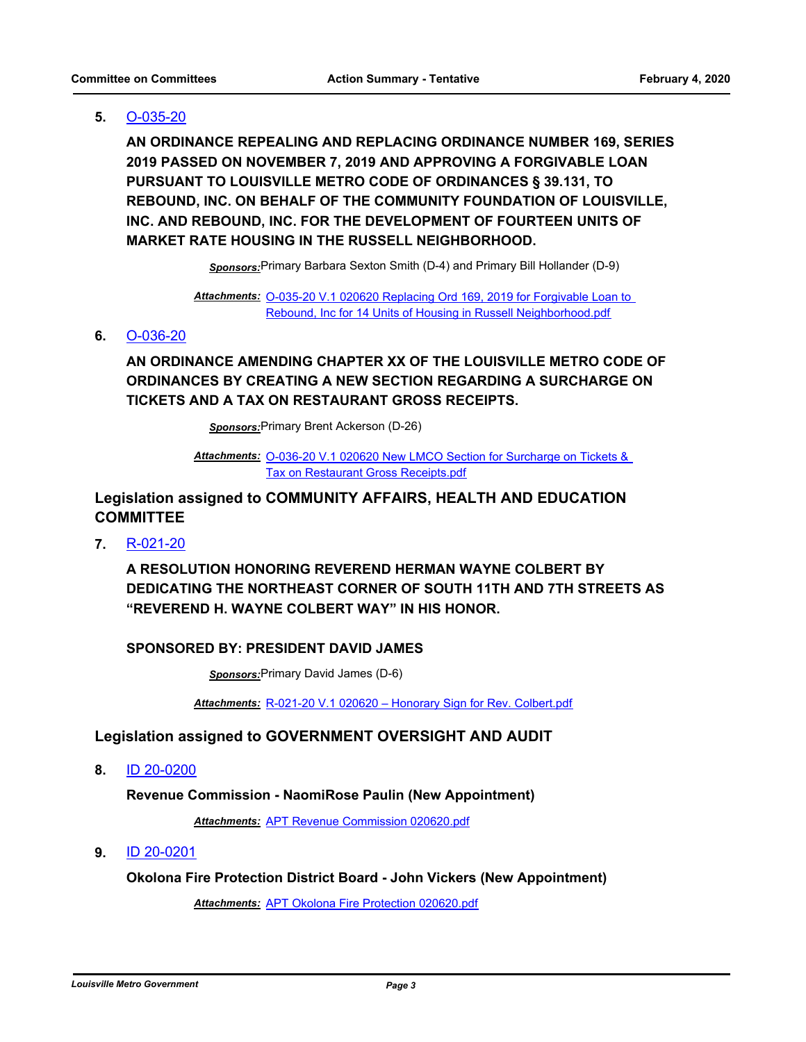#### **5.** [O-035-20](http://louisville.legistar.com/gateway.aspx?m=l&id=/matter.aspx?key=52659)

**AN ORDINANCE REPEALING AND REPLACING ORDINANCE NUMBER 169, SERIES 2019 PASSED ON NOVEMBER 7, 2019 AND APPROVING A FORGIVABLE LOAN PURSUANT TO LOUISVILLE METRO CODE OF ORDINANCES § 39.131, TO REBOUND, INC. ON BEHALF OF THE COMMUNITY FOUNDATION OF LOUISVILLE, INC. AND REBOUND, INC. FOR THE DEVELOPMENT OF FOURTEEN UNITS OF MARKET RATE HOUSING IN THE RUSSELL NEIGHBORHOOD.**

*Sponsors:*Primary Barbara Sexton Smith (D-4) and Primary Bill Hollander (D-9)

Attachments: O-035-20 V.1 020620 Replacing Ord 169, 2019 for Forgivable Loan to Rebound, Inc for 14 Units of Housing in Russell Neighborhood.pdf

#### **6.** [O-036-20](http://louisville.legistar.com/gateway.aspx?m=l&id=/matter.aspx?key=52660)

### **AN ORDINANCE AMENDING CHAPTER XX OF THE LOUISVILLE METRO CODE OF ORDINANCES BY CREATING A NEW SECTION REGARDING A SURCHARGE ON TICKETS AND A TAX ON RESTAURANT GROSS RECEIPTS.**

*Sponsors:*Primary Brent Ackerson (D-26)

Attachments: O-036-20 V.1 020620 New LMCO Section for Surcharge on Tickets & Tax on Restaurant Gross Receipts.pdf

### **Legislation assigned to COMMUNITY AFFAIRS, HEALTH AND EDUCATION COMMITTEE**

**7.** [R-021-20](http://louisville.legistar.com/gateway.aspx?m=l&id=/matter.aspx?key=52584)

**A RESOLUTION HONORING REVEREND HERMAN WAYNE COLBERT BY DEDICATING THE NORTHEAST CORNER OF SOUTH 11TH AND 7TH STREETS AS "REVEREND H. WAYNE COLBERT WAY" IN HIS HONOR.**

#### **SPONSORED BY: PRESIDENT DAVID JAMES**

*Sponsors:*Primary David James (D-6)

*Attachments:* [R-021-20 V.1 020620 – Honorary Sign for Rev. Colbert.pdf](http://louisville.legistar.com/gateway.aspx?M=F&ID=18e3117e-922d-4c03-a6c4-81700c716f31.pdf)

#### **Legislation assigned to GOVERNMENT OVERSIGHT AND AUDIT**

**8.** [ID 20-0200](http://louisville.legistar.com/gateway.aspx?m=l&id=/matter.aspx?key=52668)

#### **Revenue Commission - NaomiRose Paulin (New Appointment)**

*Attachments:* [APT Revenue Commission 020620.pdf](http://louisville.legistar.com/gateway.aspx?M=F&ID=a2791fab-6ab6-4573-9b18-fb0ce13a6336.pdf)

**9.** [ID 20-0201](http://louisville.legistar.com/gateway.aspx?m=l&id=/matter.aspx?key=52669)

**Okolona Fire Protection District Board - John Vickers (New Appointment)**

*Attachments:* [APT Okolona Fire Protection 020620.pdf](http://louisville.legistar.com/gateway.aspx?M=F&ID=5dc5e340-b8f1-49db-afb1-75e8d2f51d7f.pdf)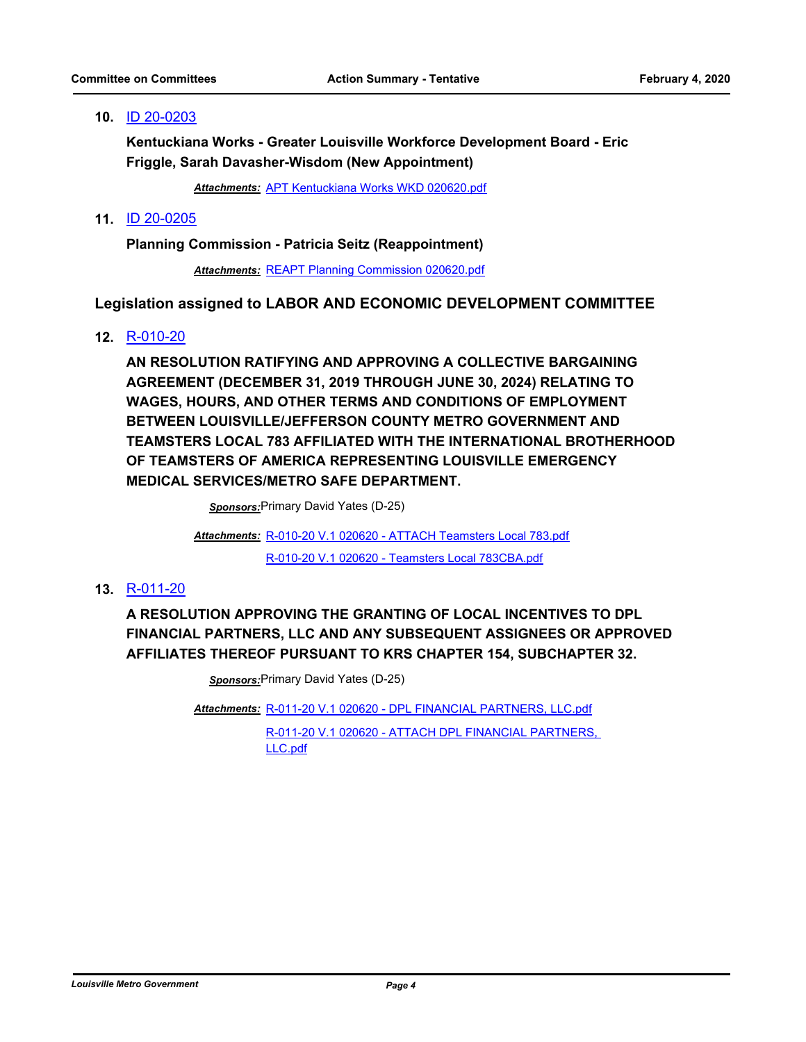#### **10.** [ID 20-0203](http://louisville.legistar.com/gateway.aspx?m=l&id=/matter.aspx?key=52671)

**Kentuckiana Works - Greater Louisville Workforce Development Board - Eric Friggle, Sarah Davasher-Wisdom (New Appointment)**

*Attachments:* [APT Kentuckiana Works WKD 020620.pdf](http://louisville.legistar.com/gateway.aspx?M=F&ID=79b16902-3cd1-48d4-852a-9a10107a7075.pdf)

#### **11.** [ID 20-0205](http://louisville.legistar.com/gateway.aspx?m=l&id=/matter.aspx?key=52673)

**Planning Commission - Patricia Seitz (Reappointment)**

*Attachments:* [REAPT Planning Commission 020620.pdf](http://louisville.legistar.com/gateway.aspx?M=F&ID=e4bfd333-eacd-4c61-9fb0-8c072be06637.pdf)

#### **Legislation assigned to LABOR AND ECONOMIC DEVELOPMENT COMMITTEE**

#### **12.** [R-010-20](http://louisville.legistar.com/gateway.aspx?m=l&id=/matter.aspx?key=52432)

**AN RESOLUTION RATIFYING AND APPROVING A COLLECTIVE BARGAINING AGREEMENT (DECEMBER 31, 2019 THROUGH JUNE 30, 2024) RELATING TO WAGES, HOURS, AND OTHER TERMS AND CONDITIONS OF EMPLOYMENT BETWEEN LOUISVILLE/JEFFERSON COUNTY METRO GOVERNMENT AND TEAMSTERS LOCAL 783 AFFILIATED WITH THE INTERNATIONAL BROTHERHOOD OF TEAMSTERS OF AMERICA REPRESENTING LOUISVILLE EMERGENCY MEDICAL SERVICES/METRO SAFE DEPARTMENT.**

*Sponsors:*Primary David Yates (D-25)

[R-010-20 V.1 020620 - ATTACH Teamsters Local 783.pdf](http://louisville.legistar.com/gateway.aspx?M=F&ID=b3d76972-8925-434c-ae8f-f304534275dd.pdf) *Attachments:* [R-010-20 V.1 020620 - Teamsters Local 783CBA.pdf](http://louisville.legistar.com/gateway.aspx?M=F&ID=477eebe1-fff7-4566-8c3f-27ab246d345c.pdf)

#### **13.** [R-011-20](http://louisville.legistar.com/gateway.aspx?m=l&id=/matter.aspx?key=52476)

**A RESOLUTION APPROVING THE GRANTING OF LOCAL INCENTIVES TO DPL FINANCIAL PARTNERS, LLC AND ANY SUBSEQUENT ASSIGNEES OR APPROVED AFFILIATES THEREOF PURSUANT TO KRS CHAPTER 154, SUBCHAPTER 32.**

*Sponsors:*Primary David Yates (D-25)

[R-011-20 V.1 020620 - DPL FINANCIAL PARTNERS, LLC.pdf](http://louisville.legistar.com/gateway.aspx?M=F&ID=9945ef82-c1f3-4aae-898b-7f967147dede.pdf) *Attachments:*

[R-011-20 V.1 020620 - ATTACH DPL FINANCIAL PARTNERS,](http://louisville.legistar.com/gateway.aspx?M=F&ID=6f03907b-ff56-40ff-a481-c2c657da1ca6.pdf)  LLC.pdf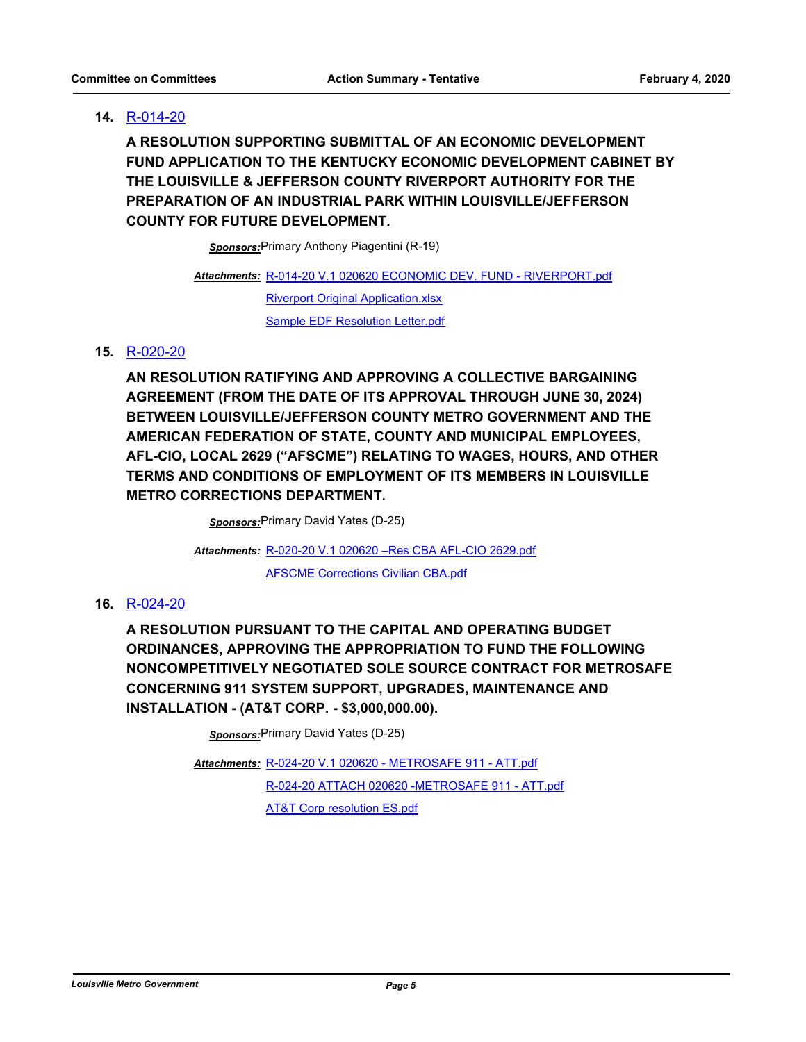#### **14.** [R-014-20](http://louisville.legistar.com/gateway.aspx?m=l&id=/matter.aspx?key=52491)

**A RESOLUTION SUPPORTING SUBMITTAL OF AN ECONOMIC DEVELOPMENT FUND APPLICATION TO THE KENTUCKY ECONOMIC DEVELOPMENT CABINET BY THE LOUISVILLE & JEFFERSON COUNTY RIVERPORT AUTHORITY FOR THE PREPARATION OF AN INDUSTRIAL PARK WITHIN LOUISVILLE/JEFFERSON COUNTY FOR FUTURE DEVELOPMENT.**

*Sponsors:*Primary Anthony Piagentini (R-19)

[R-014-20 V.1 020620 ECONOMIC DEV. FUND - RIVERPORT.pdf](http://louisville.legistar.com/gateway.aspx?M=F&ID=442fe67e-9ab7-4c84-9748-8f31012262a2.pdf) *Attachments:*

[Riverport Original Application.xlsx](http://louisville.legistar.com/gateway.aspx?M=F&ID=7508e0e7-759c-4f12-b0dc-a6381183443f.xlsx) [Sample EDF Resolution Letter.pdf](http://louisville.legistar.com/gateway.aspx?M=F&ID=b1c1f39e-5fad-4b74-8bde-9d037728a27b.pdf)

#### **15.** [R-020-20](http://louisville.legistar.com/gateway.aspx?m=l&id=/matter.aspx?key=52582)

**AN RESOLUTION RATIFYING AND APPROVING A COLLECTIVE BARGAINING AGREEMENT (FROM THE DATE OF ITS APPROVAL THROUGH JUNE 30, 2024) BETWEEN LOUISVILLE/JEFFERSON COUNTY METRO GOVERNMENT AND THE AMERICAN FEDERATION OF STATE, COUNTY AND MUNICIPAL EMPLOYEES, AFL-CIO, LOCAL 2629 ("AFSCME") RELATING TO WAGES, HOURS, AND OTHER TERMS AND CONDITIONS OF EMPLOYMENT OF ITS MEMBERS IN LOUISVILLE METRO CORRECTIONS DEPARTMENT.**

*Sponsors:*Primary David Yates (D-25)

[R-020-20 V.1 020620 –Res CBA AFL-CIO 2629.pdf](http://louisville.legistar.com/gateway.aspx?M=F&ID=f1e97585-4c77-4fab-83bb-a512c690a46c.pdf) *Attachments:*

[AFSCME Corrections Civilian CBA.pdf](http://louisville.legistar.com/gateway.aspx?M=F&ID=cd83c895-c66a-4a28-b6e4-a989c4680d47.pdf)

#### **16.** [R-024-20](http://louisville.legistar.com/gateway.aspx?m=l&id=/matter.aspx?key=52616)

**A RESOLUTION PURSUANT TO THE CAPITAL AND OPERATING BUDGET ORDINANCES, APPROVING THE APPROPRIATION TO FUND THE FOLLOWING NONCOMPETITIVELY NEGOTIATED SOLE SOURCE CONTRACT FOR METROSAFE CONCERNING 911 SYSTEM SUPPORT, UPGRADES, MAINTENANCE AND INSTALLATION - (AT&T CORP. - \$3,000,000.00).**

*Sponsors:*Primary David Yates (D-25)

[R-024-20 V.1 020620 - METROSAFE 911 - ATT.pdf](http://louisville.legistar.com/gateway.aspx?M=F&ID=14572a0e-1e64-46a5-a214-ee20767c413a.pdf) *Attachments:* [R-024-20 ATTACH 020620 -METROSAFE 911 - ATT.pdf](http://louisville.legistar.com/gateway.aspx?M=F&ID=e67b2342-5ae9-41ab-8cf0-6f6aeb860123.pdf) **[AT&T Corp resolution ES.pdf](http://louisville.legistar.com/gateway.aspx?M=F&ID=cdc885db-b445-4d75-84c6-2c7c8841f75c.pdf)**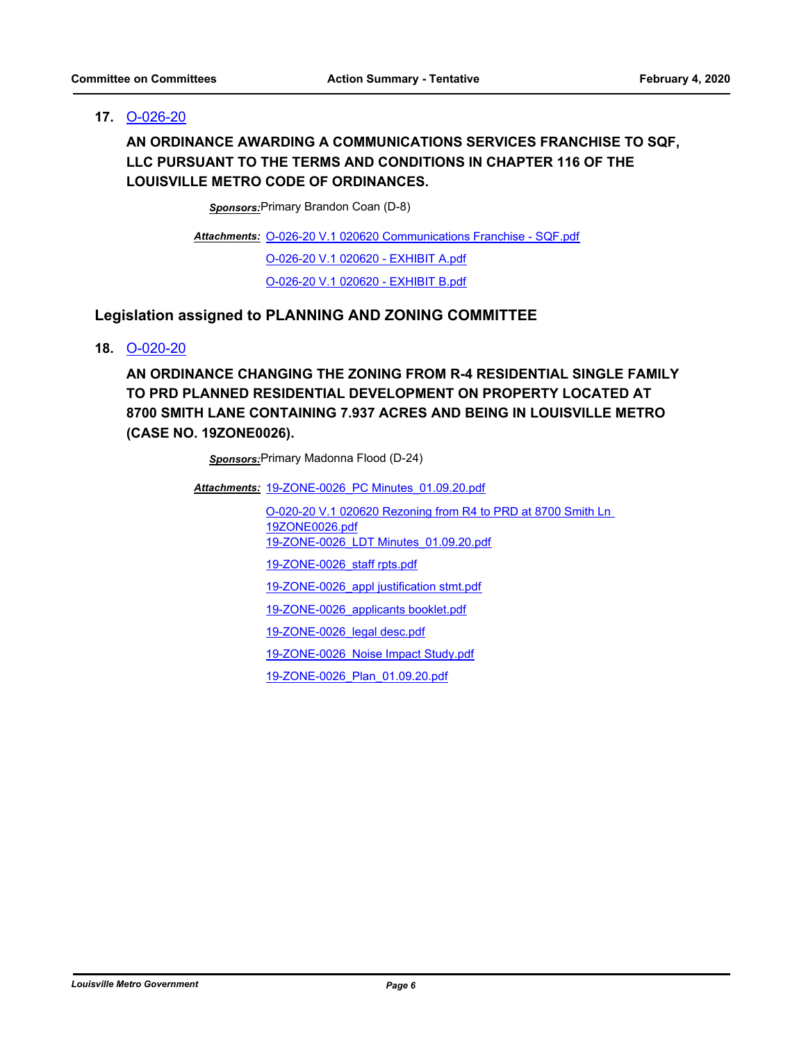#### **17.** [O-026-20](http://louisville.legistar.com/gateway.aspx?m=l&id=/matter.aspx?key=52587)

**AN ORDINANCE AWARDING A COMMUNICATIONS SERVICES FRANCHISE TO SQF, LLC PURSUANT TO THE TERMS AND CONDITIONS IN CHAPTER 116 OF THE LOUISVILLE METRO CODE OF ORDINANCES.**

*Sponsors:*Primary Brandon Coan (D-8)

Attachments: [O-026-20 V.1 020620 Communications Franchise - SQF.pdf](http://louisville.legistar.com/gateway.aspx?M=F&ID=093b4658-c40c-4e16-a43c-7c30a8d8efd9.pdf) [O-026-20 V.1 020620 - EXHIBIT A.pdf](http://louisville.legistar.com/gateway.aspx?M=F&ID=ee599f97-d962-42d3-b5ef-b0c81971922b.pdf) [O-026-20 V.1 020620 - EXHIBIT B.pdf](http://louisville.legistar.com/gateway.aspx?M=F&ID=94296dd8-0ed4-4038-9b2d-587c1f10b2c2.pdf)

#### **Legislation assigned to PLANNING AND ZONING COMMITTEE**

#### **18.** [O-020-20](http://louisville.legistar.com/gateway.aspx?m=l&id=/matter.aspx?key=52555)

**AN ORDINANCE CHANGING THE ZONING FROM R-4 RESIDENTIAL SINGLE FAMILY TO PRD PLANNED RESIDENTIAL DEVELOPMENT ON PROPERTY LOCATED AT 8700 SMITH LANE CONTAINING 7.937 ACRES AND BEING IN LOUISVILLE METRO (CASE NO. 19ZONE0026).**

*Sponsors:*Primary Madonna Flood (D-24)

Attachments: 19-ZONE-0026 PC Minutes 01.09.20.pdf

[O-020-20 V.1 020620 Rezoning from R4 to PRD at 8700 Smith Ln](http://louisville.legistar.com/gateway.aspx?M=F&ID=8ebe66e8-0839-47fe-9fd2-b77f7f371498.pdf)  19ZONE0026.pdf [19-ZONE-0026\\_LDT Minutes\\_01.09.20.pdf](http://louisville.legistar.com/gateway.aspx?M=F&ID=b05e18c8-514c-4582-a3af-bbc18819f208.pdf) [19-ZONE-0026\\_staff rpts.pdf](http://louisville.legistar.com/gateway.aspx?M=F&ID=27684374-be0a-447b-9885-a9d7f59e5d53.pdf) [19-ZONE-0026\\_appl justification stmt.pdf](http://louisville.legistar.com/gateway.aspx?M=F&ID=4a4819fb-483f-4fac-a316-eee47d54a2cc.pdf) [19-ZONE-0026\\_applicants booklet.pdf](http://louisville.legistar.com/gateway.aspx?M=F&ID=2587fd63-ed09-4953-9716-30c63c974108.pdf) [19-ZONE-0026\\_legal desc.pdf](http://louisville.legistar.com/gateway.aspx?M=F&ID=f2ac3cc3-2f3f-4731-ab9c-e341de1ab2c7.pdf) [19-ZONE-0026\\_Noise Impact Study.pdf](http://louisville.legistar.com/gateway.aspx?M=F&ID=b21c8bfb-b088-48f3-8117-4d61ea706321.pdf)

[19-ZONE-0026\\_Plan\\_01.09.20.pdf](http://louisville.legistar.com/gateway.aspx?M=F&ID=a023d8dd-854e-43e0-925a-fdf45dc17f64.pdf)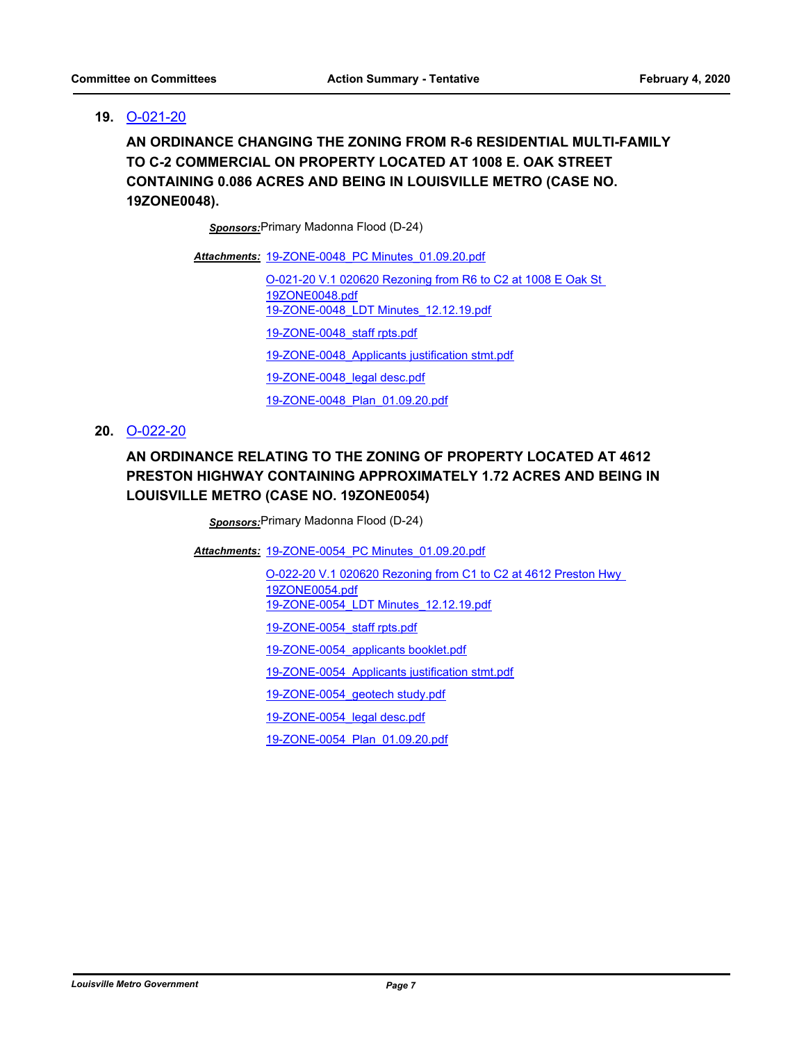#### **19.** [O-021-20](http://louisville.legistar.com/gateway.aspx?m=l&id=/matter.aspx?key=52556)

**AN ORDINANCE CHANGING THE ZONING FROM R-6 RESIDENTIAL MULTI-FAMILY TO C-2 COMMERCIAL ON PROPERTY LOCATED AT 1008 E. OAK STREET CONTAINING 0.086 ACRES AND BEING IN LOUISVILLE METRO (CASE NO. 19ZONE0048).**

*Sponsors:*Primary Madonna Flood (D-24)

Attachments: 19-ZONE-0048 PC Minutes 01.09.20.pdf

[O-021-20 V.1 020620 Rezoning from R6 to C2 at 1008 E Oak St](http://louisville.legistar.com/gateway.aspx?M=F&ID=de50adcd-4b38-46fb-86b8-a7bdcaff1e56.pdf)  19ZONE0048.pdf [19-ZONE-0048\\_LDT Minutes\\_12.12.19.pdf](http://louisville.legistar.com/gateway.aspx?M=F&ID=f886ed0a-3234-49ef-8927-331b6f10cb84.pdf) [19-ZONE-0048\\_staff rpts.pdf](http://louisville.legistar.com/gateway.aspx?M=F&ID=4ec3c26b-2868-4f3a-ab25-e348b1659d60.pdf) [19-ZONE-0048\\_Applicants justification stmt.pdf](http://louisville.legistar.com/gateway.aspx?M=F&ID=b9c5bb72-b9a6-4e6d-a75a-75372f5ab094.pdf) [19-ZONE-0048\\_legal desc.pdf](http://louisville.legistar.com/gateway.aspx?M=F&ID=399a5fab-0986-4d6b-9b71-627a5b1ac3b0.pdf) [19-ZONE-0048\\_Plan\\_01.09.20.pdf](http://louisville.legistar.com/gateway.aspx?M=F&ID=b54dce96-98e5-4237-9255-89863ed4bed7.pdf)

#### **20.** [O-022-20](http://louisville.legistar.com/gateway.aspx?m=l&id=/matter.aspx?key=52557)

### **AN ORDINANCE RELATING TO THE ZONING OF PROPERTY LOCATED AT 4612 PRESTON HIGHWAY CONTAINING APPROXIMATELY 1.72 ACRES AND BEING IN LOUISVILLE METRO (CASE NO. 19ZONE0054)**

*Sponsors:*Primary Madonna Flood (D-24)

Attachments: 19-ZONE-0054 PC Minutes 01.09.20.pdf

[O-022-20 V.1 020620 Rezoning from C1 to C2 at 4612 Preston Hwy](http://louisville.legistar.com/gateway.aspx?M=F&ID=b48c121a-f6e9-40d7-8cdd-43ac971e96f8.pdf)  19ZONE0054.pdf [19-ZONE-0054\\_LDT Minutes\\_12.12.19.pdf](http://louisville.legistar.com/gateway.aspx?M=F&ID=e16ef0dd-db74-4083-94c9-be844994ec57.pdf) [19-ZONE-0054\\_staff rpts.pdf](http://louisville.legistar.com/gateway.aspx?M=F&ID=d66c6619-101b-4fc0-b5a1-3df69c88b397.pdf) [19-ZONE-0054\\_applicants booklet.pdf](http://louisville.legistar.com/gateway.aspx?M=F&ID=e283ff6a-a4ae-46ef-9a25-f5a80cb428a2.pdf) [19-ZONE-0054\\_Applicants justification stmt.pdf](http://louisville.legistar.com/gateway.aspx?M=F&ID=b4bedf40-36a6-434c-ba6e-364aaa55209b.pdf) [19-ZONE-0054\\_geotech study.pdf](http://louisville.legistar.com/gateway.aspx?M=F&ID=6c3dc6fc-8eef-4228-8360-40fd829636bb.pdf) [19-ZONE-0054\\_legal desc.pdf](http://louisville.legistar.com/gateway.aspx?M=F&ID=46cb1396-af9c-4a3d-b1f5-3ead282bc88f.pdf)

[19-ZONE-0054\\_Plan\\_01.09.20.pdf](http://louisville.legistar.com/gateway.aspx?M=F&ID=8191d482-7f97-4a6f-a348-f66b931852f0.pdf)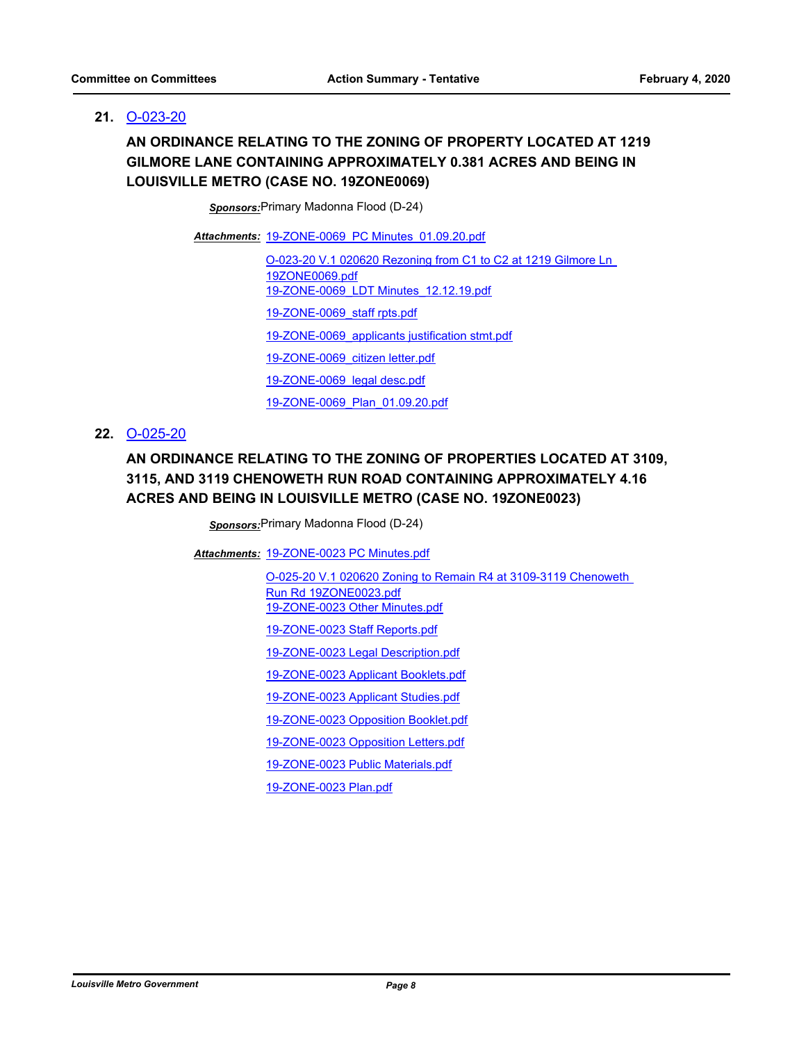#### **21.** [O-023-20](http://louisville.legistar.com/gateway.aspx?m=l&id=/matter.aspx?key=52562)

### **AN ORDINANCE RELATING TO THE ZONING OF PROPERTY LOCATED AT 1219 GILMORE LANE CONTAINING APPROXIMATELY 0.381 ACRES AND BEING IN LOUISVILLE METRO (CASE NO. 19ZONE0069)**

*Sponsors:*Primary Madonna Flood (D-24)

Attachments: 19-ZONE-0069 PC Minutes 01.09.20.pdf

[O-023-20 V.1 020620 Rezoning from C1 to C2 at 1219 Gilmore Ln](http://louisville.legistar.com/gateway.aspx?M=F&ID=61581e59-8d42-4fac-90ee-0797faba1814.pdf)  19ZONE0069.pdf [19-ZONE-0069\\_LDT Minutes\\_12.12.19.pdf](http://louisville.legistar.com/gateway.aspx?M=F&ID=97e94676-5f43-4ebd-964f-c3758ff9bd10.pdf) [19-ZONE-0069\\_staff rpts.pdf](http://louisville.legistar.com/gateway.aspx?M=F&ID=fdf1ce9a-57af-4c60-b232-5d263658f4ef.pdf) [19-ZONE-0069\\_applicants justification stmt.pdf](http://louisville.legistar.com/gateway.aspx?M=F&ID=666a3fda-3c32-404b-9934-b3a763330c9c.pdf) [19-ZONE-0069\\_citizen letter.pdf](http://louisville.legistar.com/gateway.aspx?M=F&ID=dc1a6c25-cebe-4faf-b6d9-9f83b6fb4b5a.pdf) [19-ZONE-0069\\_legal desc.pdf](http://louisville.legistar.com/gateway.aspx?M=F&ID=efdaac4e-668e-43fe-b34e-00c135fbaabd.pdf) [19-ZONE-0069\\_Plan\\_01.09.20.pdf](http://louisville.legistar.com/gateway.aspx?M=F&ID=1bbea2c7-794b-416f-97ef-18f7c050f929.pdf)

#### **22.** [O-025-20](http://louisville.legistar.com/gateway.aspx?m=l&id=/matter.aspx?key=52570)

### **AN ORDINANCE RELATING TO THE ZONING OF PROPERTIES LOCATED AT 3109, 3115, AND 3119 CHENOWETH RUN ROAD CONTAINING APPROXIMATELY 4.16 ACRES AND BEING IN LOUISVILLE METRO (CASE NO. 19ZONE0023)**

*Sponsors:*Primary Madonna Flood (D-24)

[19-ZONE-0023 PC Minutes.pdf](http://louisville.legistar.com/gateway.aspx?M=F&ID=20561b49-a64b-4a6a-9be0-59b81509ae54.pdf) *Attachments:*

[O-025-20 V.1 020620 Zoning to Remain R4 at 3109-3119 Chenoweth](http://louisville.legistar.com/gateway.aspx?M=F&ID=cf173736-0893-43a5-a28a-e82b0d62e0ec.pdf)  Run Rd 19ZONE0023.pdf [19-ZONE-0023 Other Minutes.pdf](http://louisville.legistar.com/gateway.aspx?M=F&ID=f9f3595f-c946-4bea-bac5-8a99914a0402.pdf) [19-ZONE-0023 Staff Reports.pdf](http://louisville.legistar.com/gateway.aspx?M=F&ID=aa672478-f5f1-4a43-a27d-26d96f7d24b8.pdf) [19-ZONE-0023 Legal Description.pdf](http://louisville.legistar.com/gateway.aspx?M=F&ID=2c78ddb4-1756-433b-a5c4-cd63c750cf86.pdf) [19-ZONE-0023 Applicant Booklets.pdf](http://louisville.legistar.com/gateway.aspx?M=F&ID=2f3cd05c-67d2-4738-9793-d493e85dc9f0.pdf) [19-ZONE-0023 Applicant Studies.pdf](http://louisville.legistar.com/gateway.aspx?M=F&ID=4f809763-27d1-496f-af32-ecb9a63b226b.pdf) [19-ZONE-0023 Opposition Booklet.pdf](http://louisville.legistar.com/gateway.aspx?M=F&ID=0bcb7235-77f2-4192-8ea4-e8d7bfedd601.pdf) [19-ZONE-0023 Opposition Letters.pdf](http://louisville.legistar.com/gateway.aspx?M=F&ID=d84a8cdf-a297-4816-a115-38489c1add73.pdf) [19-ZONE-0023 Public Materials.pdf](http://louisville.legistar.com/gateway.aspx?M=F&ID=31b5f197-020b-41e0-9ed5-5ec2dc99d654.pdf)

[19-ZONE-0023 Plan.pdf](http://louisville.legistar.com/gateway.aspx?M=F&ID=93e6dbf5-1885-4d5d-bb46-1f8c9fe126d3.pdf)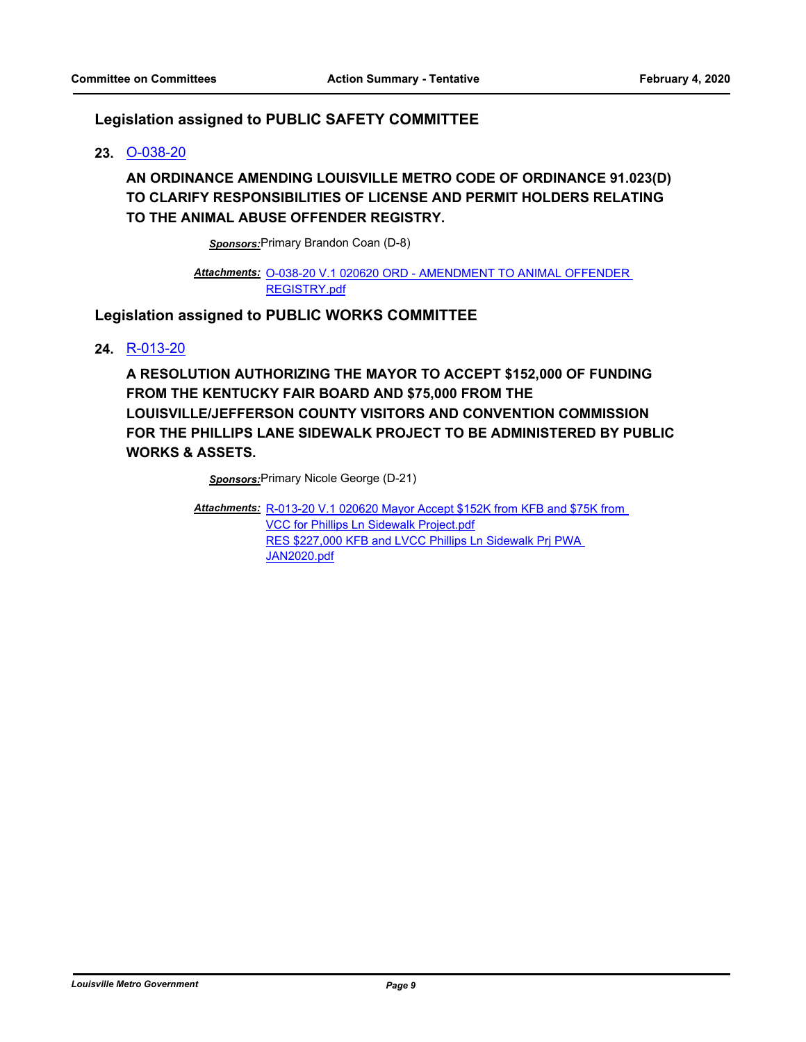#### **Legislation assigned to PUBLIC SAFETY COMMITTEE**

#### **23.** [O-038-20](http://louisville.legistar.com/gateway.aspx?m=l&id=/matter.aspx?key=52661)

### **AN ORDINANCE AMENDING LOUISVILLE METRO CODE OF ORDINANCE 91.023(D) TO CLARIFY RESPONSIBILITIES OF LICENSE AND PERMIT HOLDERS RELATING TO THE ANIMAL ABUSE OFFENDER REGISTRY.**

*Sponsors:*Primary Brandon Coan (D-8)

#### Attachments: 0-038-20 V.1 020620 ORD - AMENDMENT TO ANIMAL OFFENDER REGISTRY.pdf

#### **Legislation assigned to PUBLIC WORKS COMMITTEE**

#### **24.** [R-013-20](http://louisville.legistar.com/gateway.aspx?m=l&id=/matter.aspx?key=52481)

**A RESOLUTION AUTHORIZING THE MAYOR TO ACCEPT \$152,000 OF FUNDING FROM THE KENTUCKY FAIR BOARD AND \$75,000 FROM THE LOUISVILLE/JEFFERSON COUNTY VISITORS AND CONVENTION COMMISSION FOR THE PHILLIPS LANE SIDEWALK PROJECT TO BE ADMINISTERED BY PUBLIC WORKS & ASSETS.**

*Sponsors:*Primary Nicole George (D-21)

Attachments: R-013-20 V.1 020620 Mayor Accept \$152K from KFB and \$75K from VCC for Phillips Ln Sidewalk Project.pdf RES \$227,000 KFB and LVCC Phillips Ln Sidewalk Prj PWA JAN2020.pdf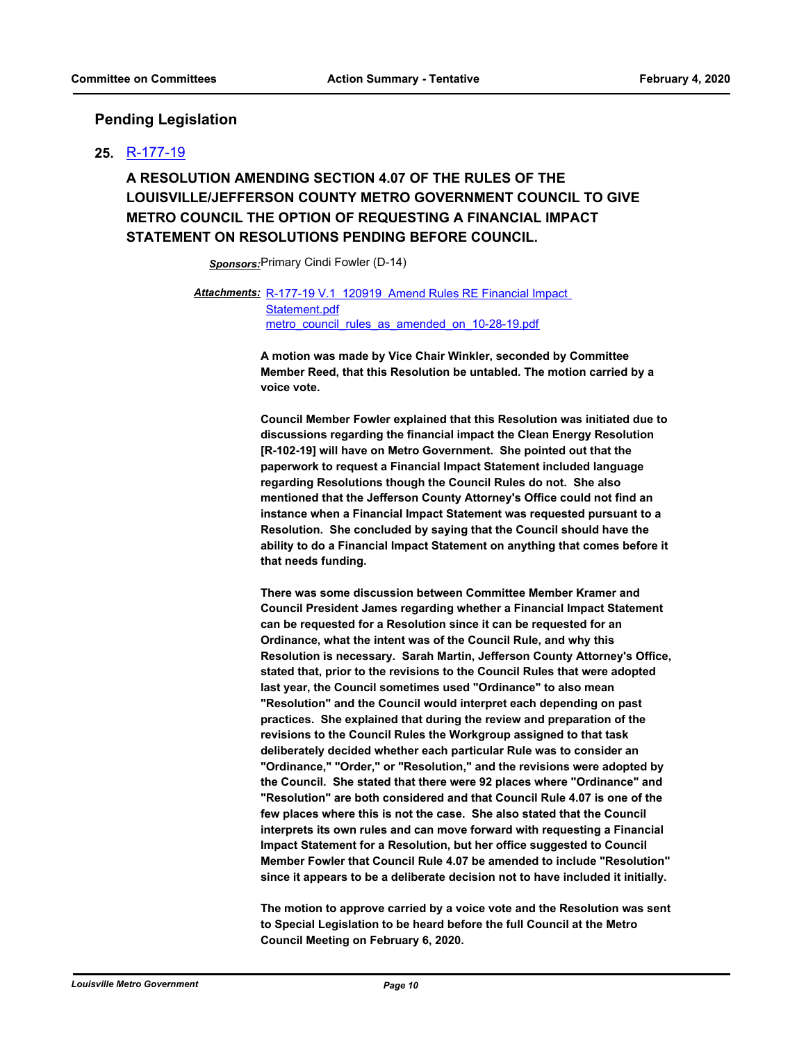#### **Pending Legislation**

#### **25.** [R-177-19](http://louisville.legistar.com/gateway.aspx?m=l&id=/matter.aspx?key=52213)

### **A RESOLUTION AMENDING SECTION 4.07 OF THE RULES OF THE LOUISVILLE/JEFFERSON COUNTY METRO GOVERNMENT COUNCIL TO GIVE METRO COUNCIL THE OPTION OF REQUESTING A FINANCIAL IMPACT STATEMENT ON RESOLUTIONS PENDING BEFORE COUNCIL.**

*Sponsors:*Primary Cindi Fowler (D-14)

Attachments: R-177-19 V.1 120919 Amend Rules RE Financial Impact Statement.pdf metro council rules as amended on 10-28-19.pdf

> **A motion was made by Vice Chair Winkler, seconded by Committee Member Reed, that this Resolution be untabled. The motion carried by a voice vote.**

**Council Member Fowler explained that this Resolution was initiated due to discussions regarding the financial impact the Clean Energy Resolution [R-102-19] will have on Metro Government. She pointed out that the paperwork to request a Financial Impact Statement included language regarding Resolutions though the Council Rules do not. She also mentioned that the Jefferson County Attorney's Office could not find an instance when a Financial Impact Statement was requested pursuant to a Resolution. She concluded by saying that the Council should have the ability to do a Financial Impact Statement on anything that comes before it that needs funding.**

**There was some discussion between Committee Member Kramer and Council President James regarding whether a Financial Impact Statement can be requested for a Resolution since it can be requested for an Ordinance, what the intent was of the Council Rule, and why this Resolution is necessary. Sarah Martin, Jefferson County Attorney's Office, stated that, prior to the revisions to the Council Rules that were adopted last year, the Council sometimes used "Ordinance" to also mean "Resolution" and the Council would interpret each depending on past practices. She explained that during the review and preparation of the revisions to the Council Rules the Workgroup assigned to that task deliberately decided whether each particular Rule was to consider an "Ordinance," "Order," or "Resolution," and the revisions were adopted by the Council. She stated that there were 92 places where "Ordinance" and "Resolution" are both considered and that Council Rule 4.07 is one of the few places where this is not the case. She also stated that the Council interprets its own rules and can move forward with requesting a Financial Impact Statement for a Resolution, but her office suggested to Council Member Fowler that Council Rule 4.07 be amended to include "Resolution" since it appears to be a deliberate decision not to have included it initially.** 

**The motion to approve carried by a voice vote and the Resolution was sent to Special Legislation to be heard before the full Council at the Metro Council Meeting on February 6, 2020.**